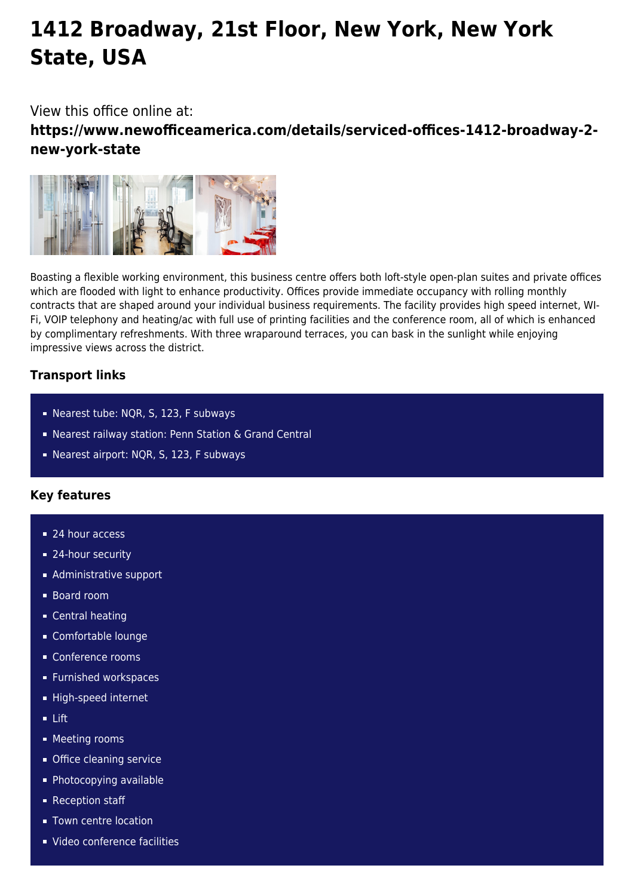# **1412 Broadway, 21st Floor, New York, New York State, USA**

View this office online at:

**https://www.newofficeamerica.com/details/serviced-offices-1412-broadway-2 new-york-state**



Boasting a flexible working environment, this business centre offers both loft-style open-plan suites and private offices which are flooded with light to enhance productivity. Offices provide immediate occupancy with rolling monthly contracts that are shaped around your individual business requirements. The facility provides high speed internet, WI-Fi, VOIP telephony and heating/ac with full use of printing facilities and the conference room, all of which is enhanced by complimentary refreshments. With three wraparound terraces, you can bask in the sunlight while enjoying impressive views across the district.

## **Transport links**

- Nearest tube: NQR, S, 123, F subways
- Nearest railway station: Penn Station & Grand Central
- Nearest airport: NQR, S, 123, F subways

## **Key features**

- 24 hour access
- 24-hour security
- **Administrative support**
- Board room
- **Central heating**
- Comfortable lounge
- Conference rooms
- **Furnished workspaces**
- High-speed internet
- $I$  ift
- **Meeting rooms**
- **Office cleaning service**
- **Photocopying available**
- Reception staff
- **Town centre location**
- Video conference facilities